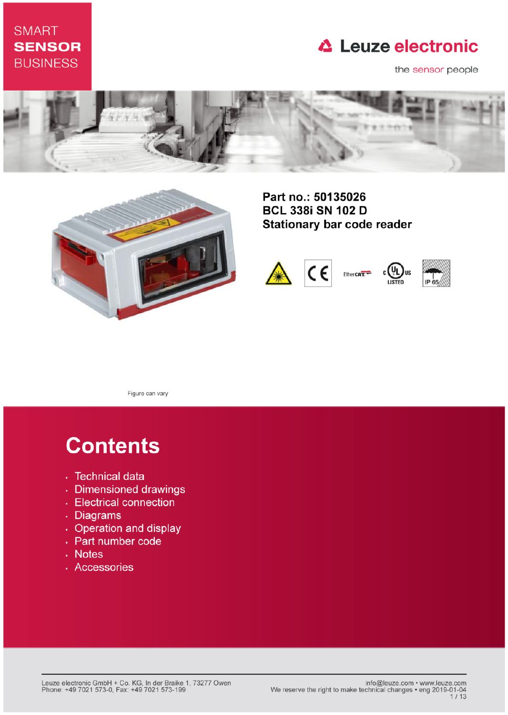## **SMART SENSOR BUSINESS**

## **△ Leuze electronic**

the sensor people





Part no.: 50135026 **BCL 338i SN 102 D Stationary bar code reader** 



Figure can vary

# **Contents**

- · Technical data
- · Dimensioned drawings
- Electrical connection
- . Diagrams
- Operation and display
- Part number code
- Notes
- · Accessories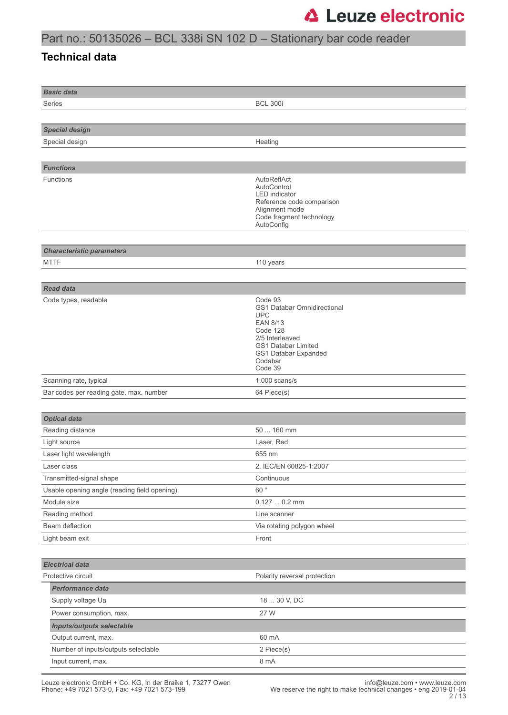## Part no.: 50135026 – BCL 338i SN 102 D – Stationary bar code reader

### **Technical data**

| <b>Basic data</b>                            |                                                                                                                                                                                    |  |  |
|----------------------------------------------|------------------------------------------------------------------------------------------------------------------------------------------------------------------------------------|--|--|
| Series                                       | <b>BCL 300i</b>                                                                                                                                                                    |  |  |
|                                              |                                                                                                                                                                                    |  |  |
| <b>Special design</b>                        |                                                                                                                                                                                    |  |  |
| Special design                               | Heating                                                                                                                                                                            |  |  |
|                                              |                                                                                                                                                                                    |  |  |
| <b>Functions</b>                             |                                                                                                                                                                                    |  |  |
| Functions                                    | AutoReflAct<br>AutoControl<br><b>LED</b> indicator<br>Reference code comparison<br>Alignment mode<br>Code fragment technology<br>AutoConfig                                        |  |  |
| <b>Characteristic parameters</b>             |                                                                                                                                                                                    |  |  |
| <b>MTTF</b>                                  | 110 years                                                                                                                                                                          |  |  |
|                                              |                                                                                                                                                                                    |  |  |
| <b>Read data</b>                             |                                                                                                                                                                                    |  |  |
| Code types, readable                         | Code 93<br>GS1 Databar Omnidirectional<br><b>UPC</b><br><b>EAN 8/13</b><br>Code 128<br>2/5 Interleaved<br><b>GS1 Databar Limited</b><br>GS1 Databar Expanded<br>Codabar<br>Code 39 |  |  |
| Scanning rate, typical                       | $1,000$ scans/s                                                                                                                                                                    |  |  |
| Bar codes per reading gate, max. number      | 64 Piece(s)                                                                                                                                                                        |  |  |
|                                              |                                                                                                                                                                                    |  |  |
| <b>Optical data</b>                          |                                                                                                                                                                                    |  |  |
| Reading distance                             | 50  160 mm                                                                                                                                                                         |  |  |
| Light source                                 | Laser, Red                                                                                                                                                                         |  |  |
| Laser light wavelength                       | 655 nm                                                                                                                                                                             |  |  |
| Laser class                                  | 2, IEC/EN 60825-1:2007                                                                                                                                                             |  |  |
| Transmitted-signal shape                     | Continuous                                                                                                                                                                         |  |  |
| Usable opening angle (reading field opening) | 60°                                                                                                                                                                                |  |  |
| Module size                                  | $0.1270.2$ mm                                                                                                                                                                      |  |  |
| Reading method                               | Line scanner                                                                                                                                                                       |  |  |
| Beam deflection<br>Light beam exit           | Via rotating polygon wheel<br>Front                                                                                                                                                |  |  |
|                                              |                                                                                                                                                                                    |  |  |
| <b>Electrical data</b>                       |                                                                                                                                                                                    |  |  |
| Protective circuit                           | Polarity reversal protection                                                                                                                                                       |  |  |
| Performance data                             |                                                                                                                                                                                    |  |  |
| Supply voltage U <sub>B</sub>                | 18  30 V, DC                                                                                                                                                                       |  |  |
| Power consumption, max.                      | 27 W                                                                                                                                                                               |  |  |
| <b>Inputs/outputs selectable</b>             |                                                                                                                                                                                    |  |  |
| Output current, max.                         | 60 mA                                                                                                                                                                              |  |  |
| Number of inputs/outputs selectable          | 2 Piece(s)                                                                                                                                                                         |  |  |
| Input current, max.                          | 8 mA                                                                                                                                                                               |  |  |
|                                              |                                                                                                                                                                                    |  |  |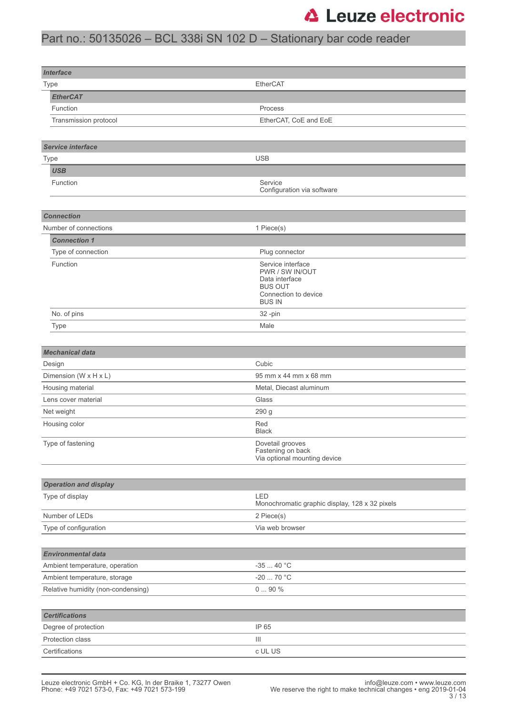## Part no.: 50135026 – BCL 338i SN 102 D – Stationary bar code reader

| <b>Interface</b>                   |                                                       |  |  |  |  |
|------------------------------------|-------------------------------------------------------|--|--|--|--|
| Type                               | EtherCAT                                              |  |  |  |  |
| <b>EtherCAT</b>                    |                                                       |  |  |  |  |
| Function                           | Process                                               |  |  |  |  |
| Transmission protocol              | EtherCAT, CoE and EoE                                 |  |  |  |  |
|                                    |                                                       |  |  |  |  |
| Service interface                  |                                                       |  |  |  |  |
| Type                               | <b>USB</b>                                            |  |  |  |  |
| <b>USB</b>                         |                                                       |  |  |  |  |
| Function                           | Service                                               |  |  |  |  |
|                                    | Configuration via software                            |  |  |  |  |
|                                    |                                                       |  |  |  |  |
| <b>Connection</b>                  |                                                       |  |  |  |  |
| Number of connections              | 1 Piece(s)                                            |  |  |  |  |
| <b>Connection 1</b>                |                                                       |  |  |  |  |
| Type of connection                 | Plug connector                                        |  |  |  |  |
| Function                           | Service interface                                     |  |  |  |  |
|                                    | PWR / SW IN/OUT<br>Data interface                     |  |  |  |  |
|                                    | <b>BUS OUT</b><br>Connection to device                |  |  |  |  |
|                                    | <b>BUS IN</b>                                         |  |  |  |  |
| No. of pins                        | 32-pin                                                |  |  |  |  |
| <b>Type</b>                        | Male                                                  |  |  |  |  |
|                                    |                                                       |  |  |  |  |
| <b>Mechanical data</b>             |                                                       |  |  |  |  |
| Design                             | Cubic                                                 |  |  |  |  |
| Dimension (W x H x L)              | 95 mm x 44 mm x 68 mm                                 |  |  |  |  |
| Housing material                   | Metal, Diecast aluminum                               |  |  |  |  |
| Lens cover material                | Glass                                                 |  |  |  |  |
| Net weight                         | 290 g                                                 |  |  |  |  |
| Housing color                      | Red<br><b>Black</b>                                   |  |  |  |  |
| Type of fastening                  | Dovetail grooves<br>Fastening on back                 |  |  |  |  |
|                                    | Via optional mounting device                          |  |  |  |  |
|                                    |                                                       |  |  |  |  |
| <b>Operation and display</b>       |                                                       |  |  |  |  |
| Type of display                    | LED<br>Monochromatic graphic display, 128 x 32 pixels |  |  |  |  |
| Number of LEDs                     | 2 Piece(s)                                            |  |  |  |  |
| Type of configuration              | Via web browser                                       |  |  |  |  |
|                                    |                                                       |  |  |  |  |
| <b>Environmental data</b>          |                                                       |  |  |  |  |
| Ambient temperature, operation     | $-3540 °C$                                            |  |  |  |  |
| Ambient temperature, storage       | -20  70 °C                                            |  |  |  |  |
| Relative humidity (non-condensing) | $090%$                                                |  |  |  |  |
|                                    |                                                       |  |  |  |  |
| <b>Certifications</b>              |                                                       |  |  |  |  |
| Degree of protection               | IP 65                                                 |  |  |  |  |
| Protection class                   | Ш                                                     |  |  |  |  |
| Certifications                     | c UL US                                               |  |  |  |  |
|                                    |                                                       |  |  |  |  |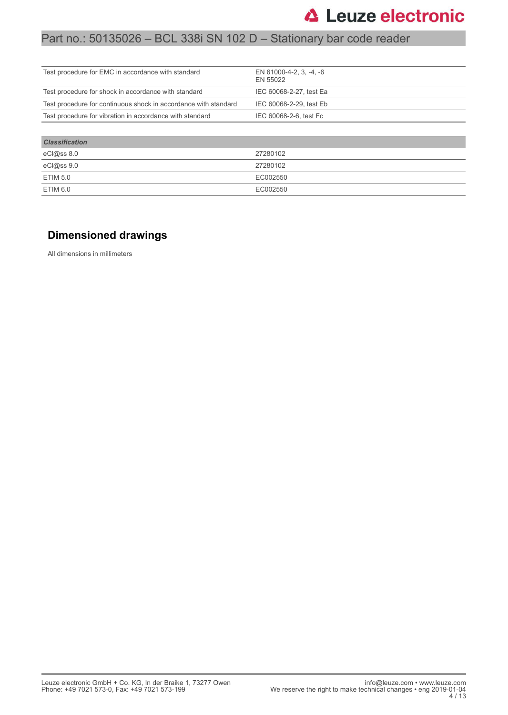## Part no.: 50135026 – BCL 338i SN 102 D – Stationary bar code reader

| Test procedure for EMC in accordance with standard              | EN 61000-4-2, 3, -4, -6<br>EN 55022 |
|-----------------------------------------------------------------|-------------------------------------|
| Test procedure for shock in accordance with standard            | IEC 60068-2-27, test Ea             |
| Test procedure for continuous shock in accordance with standard | IEC 60068-2-29, test Eb             |
| Test procedure for vibration in accordance with standard        | IEC 60068-2-6, test Fc              |
|                                                                 |                                     |
| <b>Classification</b>                                           |                                     |

| eCl@ss 8.0      | 27280102 |
|-----------------|----------|
| eCl@ss 9.0      | 27280102 |
| <b>ETIM 5.0</b> | EC002550 |
| ETIM 6.0        | EC002550 |

### **Dimensioned drawings**

All dimensions in millimeters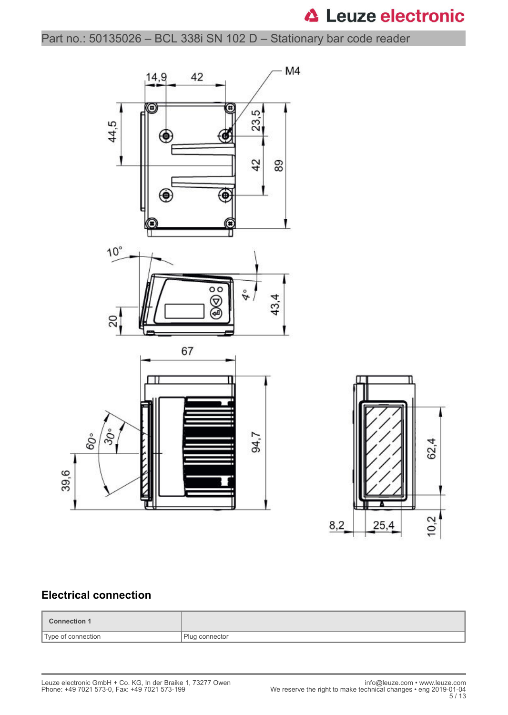Part no.: 50135026 – BCL 338i SN 102 D – Stationary bar code reader





### **Electrical connection**

| Connection 1       |                |
|--------------------|----------------|
| Type of connection | Plug connector |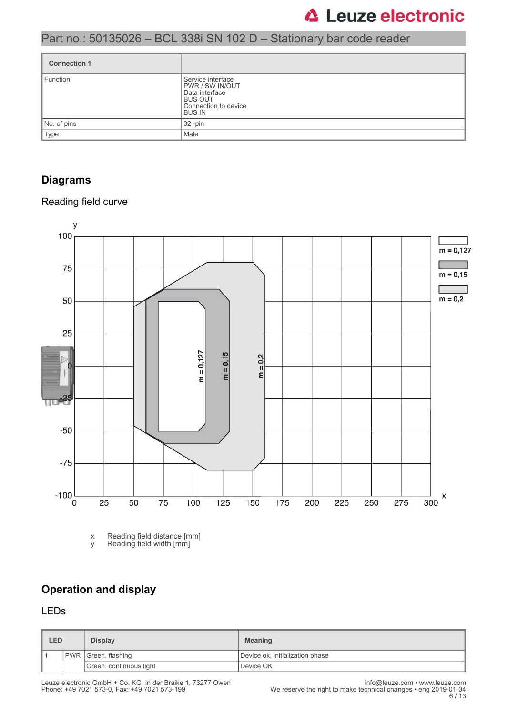## Part no.: 50135026 – BCL 338i SN 102 D – Stationary bar code reader

| <b>Connection 1</b> |                                                                                                                      |
|---------------------|----------------------------------------------------------------------------------------------------------------------|
| Function            | Service interface<br><b>IPWR / SW IN/OUT</b><br>Data interface<br><b>BUS OUT</b><br>Connection to device<br>I BUS IN |
| No. of pins         | 32 -pin                                                                                                              |
| Type                | Male                                                                                                                 |

### **Diagrams**

### Reading field curve



x Reading field distance [mm] y Reading field width [mm]

### **Operation and display**

### LEDs

| <b>LED</b> |                            | <b>Display</b> | <b>Meaning</b>                  |  |
|------------|----------------------------|----------------|---------------------------------|--|
|            | <b>PWR</b> Green, flashing |                | Device ok, initialization phase |  |
|            | Green, continuous light    |                | Device OK                       |  |

Leuze electronic GmbH + Co. KG, In der Braike 1, 73277 Owen info@leuze.com • www.leuze.com Phone: +49 7021 573-0, Fax: +49 7021 573-199 We reserve the right to make technical changes • eng 2019-01-04

6 / 13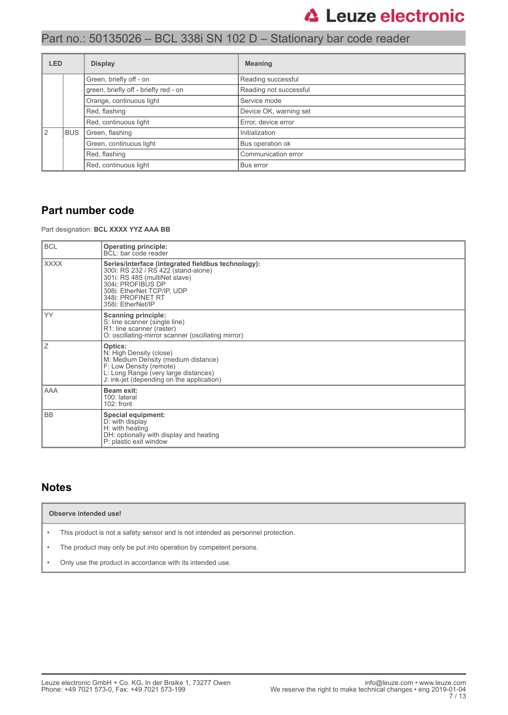## Part no.: 50135026 – BCL 338i SN 102 D – Stationary bar code reader

| <b>LED</b> |                                                                                              | <b>Display</b>          | <b>Meaning</b>         |
|------------|----------------------------------------------------------------------------------------------|-------------------------|------------------------|
|            | Green, briefly off - on<br>green, briefly off - briefly red - on<br>Orange, continuous light |                         | Reading successful     |
|            |                                                                                              |                         | Reading not successful |
|            |                                                                                              |                         | Service mode           |
|            |                                                                                              | Red, flashing           | Device OK, warning set |
|            |                                                                                              | Red, continuous light   | Error, device error    |
|            | <b>BUS</b>                                                                                   | Green, flashing         | Initialization         |
|            |                                                                                              | Green, continuous light | Bus operation ok       |
|            |                                                                                              | Red, flashing           | Communication error    |
|            |                                                                                              | Red, continuous light   | Bus error              |

### **Part number code**

Part designation: **BCL XXXX YYZ AAA BB**

| <b>BCL</b>  | <b>Operating principle:</b><br>BCL: bar code reader                                                                                                                                                                     |  |  |  |
|-------------|-------------------------------------------------------------------------------------------------------------------------------------------------------------------------------------------------------------------------|--|--|--|
| <b>XXXX</b> | Series/interface (integrated fieldbus technology):<br>300i: RS 232 / RS 422 (stand-alone)<br>301i: RS 485 (multiNet slave)<br>304i: PROFIBUS DP<br>308i: EtherNet TCP/IP, UDP<br>348i: PROFINET RT<br>358i: EtherNet/IP |  |  |  |
| <b>YY</b>   | <b>Scanning principle:</b><br>S: line scanner (single line)<br>R1: line scanner (raster)<br>O: oscillating-mirror scanner (oscillating mirror)                                                                          |  |  |  |
| Ζ           | Optics:<br>N: High Density (close)<br>M: Medium Density (medium distance)<br>F: Low Density (remote)<br>L: Long Range (very large distances)<br>J: ink-jet (depending on the application)                               |  |  |  |
| AAA         | <b>Beam exit:</b><br>100: lateral<br>$102:$ front                                                                                                                                                                       |  |  |  |
| <b>BB</b>   | <b>Special equipment:</b><br>D: with display<br>H: with heating<br>DH: optionally with display and heating<br>P: plastic exit window                                                                                    |  |  |  |

### **Notes**

- This product is not a safety sensor and is not intended as personnel protection.
- The product may only be put into operation by competent persons.
- Only use the product in accordance with its intended use.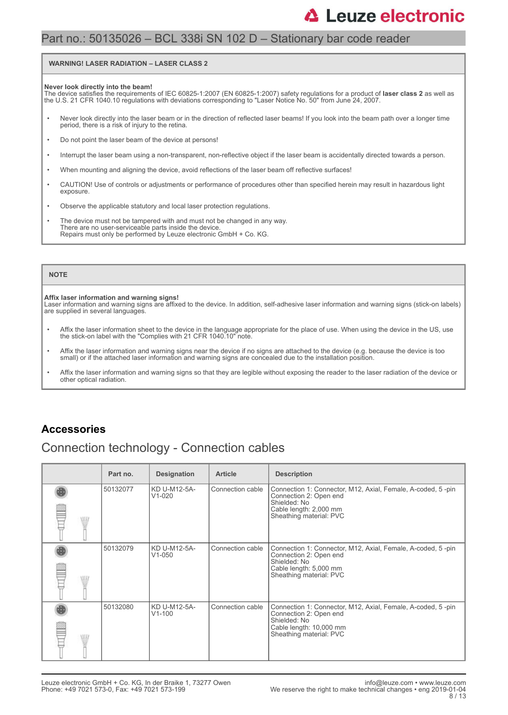### Part no.: 50135026 – BCL 338i SN 102 D – Stationary bar code reader

#### **WARNING! LASER RADIATION – LASER CLASS 2**

#### **Never look directly into the beam!**

The device satisfies the requirements of IEC 60825-1:2007 (EN 60825-1:2007) safety regulations for a product of **laser class 2** as well as<br>the U.S. 21 CFR 1040.10 regulations with deviations corresponding to "Laser Notice

- Never look directly into the laser beam or in the direction of reflected laser beams! If you look into the beam path over a longer time period, there is a risk of injury to the retina.
- Do not point the laser beam of the device at persons!
- Interrupt the laser beam using a non-transparent, non-reflective object if the laser beam is accidentally directed towards a person.
- When mounting and aligning the device, avoid reflections of the laser beam off reflective surfaces!
- CAUTION! Use of controls or adjustments or performance of procedures other than specified herein may result in hazardous light exposure.
- Observe the applicable statutory and local laser protection regulations.
- The device must not be tampered with and must not be changed in any way. There are no user-serviceable parts inside the device. Repairs must only be performed by Leuze electronic GmbH + Co. KG.

#### **NOTE**

#### **Affix laser information and warning signs!**

Laser information and warning signs are affixed to the device. In addition, self-adhesive laser information and warning signs (stick-on labels) are supplied in several languages.

- Affix the laser information sheet to the device in the language appropriate for the place of use. When using the device in the US, use the stick-on label with the "Complies with 21 CFR 1040.10" note.
- Affix the laser information and warning signs near the device if no signs are attached to the device (e.g. because the device is too small) or if the attached laser information and warning signs are concealed due to the installation position.
- Affix the laser information and warning signs so that they are legible without exposing the reader to the laser radiation of the device or other optical radiation.

### **Accessories**

### Connection technology - Connection cables

|       | Part no. | <b>Designation</b>         | <b>Article</b>   | <b>Description</b>                                                                                                                                          |
|-------|----------|----------------------------|------------------|-------------------------------------------------------------------------------------------------------------------------------------------------------------|
| ALLI. | 50132077 | KD U-M12-5A-<br>$V1-020$   | Connection cable | Connection 1: Connector, M12, Axial, Female, A-coded, 5-pin<br>Connection 2: Open end<br>Shielded: No<br>Cable length: 2,000 mm<br>Sheathing material: PVC  |
| \HJ.  | 50132079 | KD U-M12-5A-<br>$V1 - 050$ | Connection cable | Connection 1: Connector, M12, Axial, Female, A-coded, 5-pin<br>Connection 2: Open end<br>Shielded: No<br>Cable length: 5,000 mm<br>Sheathing material: PVC  |
| ALLI. | 50132080 | KD U-M12-5A-<br>$V1 - 100$ | Connection cable | Connection 1: Connector, M12, Axial, Female, A-coded, 5-pin<br>Connection 2: Open end<br>Shielded: No<br>Cable length: 10,000 mm<br>Sheathing material: PVC |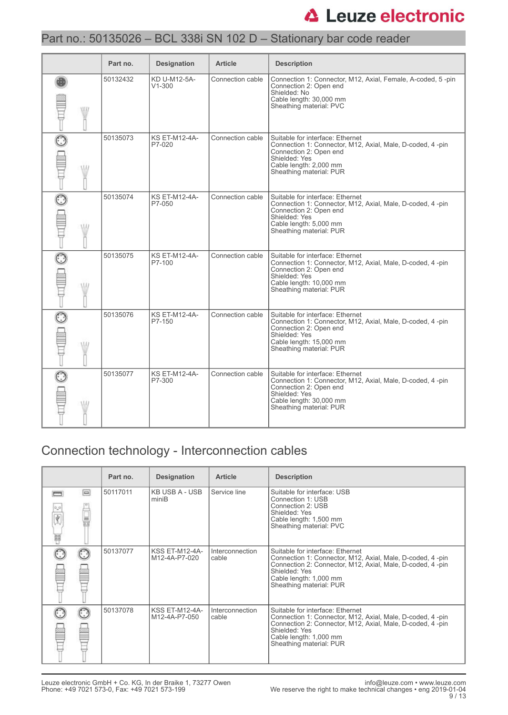## Part no.: 50135026 – BCL 338i SN 102 D – Stationary bar code reader

|             | Part no. | <b>Designation</b>             | <b>Article</b>   | <b>Description</b>                                                                                                                                                                              |
|-------------|----------|--------------------------------|------------------|-------------------------------------------------------------------------------------------------------------------------------------------------------------------------------------------------|
| <b>ATIV</b> | 50132432 | KD U-M12-5A-<br>$V1 - 300$     | Connection cable | Connection 1: Connector, M12, Axial, Female, A-coded, 5-pin<br>Connection 2: Open end<br>Shielded: No<br>Cable length: 30,000 mm<br>Sheathing material: PVC                                     |
|             | 50135073 | <b>KS ET-M12-4A-</b><br>P7-020 | Connection cable | Suitable for interface: Ethernet<br>Connection 1: Connector, M12, Axial, Male, D-coded, 4 -pin<br>Connection 2: Open end<br>Shielded: Yes<br>Cable length: 2,000 mm<br>Sheathing material: PUR  |
| W           | 50135074 | <b>KS ET-M12-4A-</b><br>P7-050 | Connection cable | Suitable for interface: Ethernet<br>Connection 1: Connector, M12, Axial, Male, D-coded, 4 -pin<br>Connection 2: Open end<br>Shielded: Yes<br>Cable length: 5,000 mm<br>Sheathing material: PUR  |
| W           | 50135075 | <b>KS ET-M12-4A-</b><br>P7-100 | Connection cable | Suitable for interface: Ethernet<br>Connection 1: Connector, M12, Axial, Male, D-coded, 4-pin<br>Connection 2: Open end<br>Shielded: Yes<br>Cable length: 10,000 mm<br>Sheathing material: PUR  |
| W           | 50135076 | <b>KS ET-M12-4A-</b><br>P7-150 | Connection cable | Suitable for interface: Ethernet<br>Connection 1: Connector, M12, Axial, Male, D-coded, 4-pin<br>Connection 2: Open end<br>Shielded: Yes<br>Cable length: 15,000 mm<br>Sheathing material: PUR  |
|             | 50135077 | <b>KS ET-M12-4A-</b><br>P7-300 | Connection cable | Suitable for interface: Ethernet<br>Connection 1: Connector, M12, Axial, Male, D-coded, 4 -pin<br>Connection 2: Open end<br>Shielded: Yes<br>Cable length: 30,000 mm<br>Sheathing material: PUR |

## Connection technology - Interconnection cables

|        |          | Part no. | <b>Designation</b>              | <b>Article</b>           | <b>Description</b>                                                                                                                                                                                                                |
|--------|----------|----------|---------------------------------|--------------------------|-----------------------------------------------------------------------------------------------------------------------------------------------------------------------------------------------------------------------------------|
| Ý<br>W | $\equiv$ | 50117011 | KB USB A - USB<br>miniB         | Service line             | Suitable for interface: USB<br>Connection 1: USB<br>Connection 2: USB<br>Shielded: Yes<br>Cable length: 1,500 mm<br>Sheathing material: PVC                                                                                       |
|        |          | 50137077 | KSS ET-M12-4A-<br>M12-4A-P7-020 | Interconnection<br>cable | Suitable for interface: Ethernet<br>Connection 1: Connector, M12, Axial, Male, D-coded, 4-pin<br>Connection 2: Connector, M12, Axial, Male, D-coded, 4 -pin<br>Shielded: Yes<br>Cable length: 1,000 mm<br>Sheathing material: PUR |
|        |          | 50137078 | KSS ET-M12-4A-<br>M12-4A-P7-050 | Interconnection<br>cable | Suitable for interface: Ethernet<br>Connection 1: Connector, M12, Axial, Male, D-coded, 4-pin<br>Connection 2: Connector, M12, Axial, Male, D-coded, 4-pin<br>Shielded: Yes<br>Cable length: 1,000 mm<br>Sheathing material: PUR  |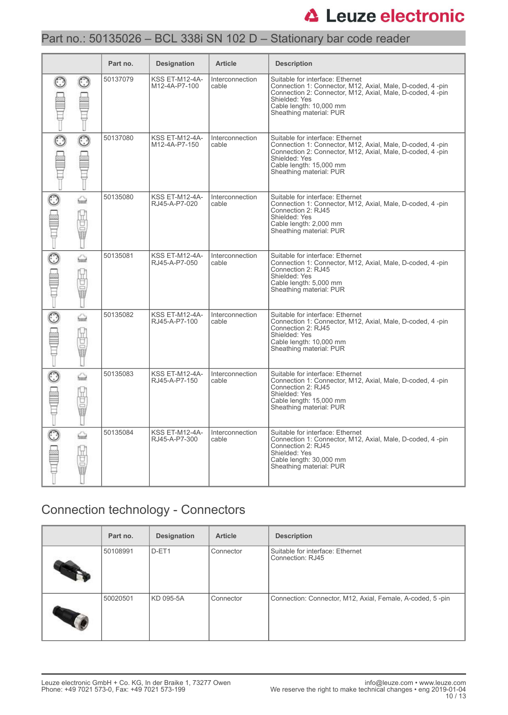## Part no.: 50135026 – BCL 338i SN 102 D – Stationary bar code reader

|         |                       | Part no. | <b>Designation</b>                     | <b>Article</b>                  | <b>Description</b>                                                                                                                                                                                                                |
|---------|-----------------------|----------|----------------------------------------|---------------------------------|-----------------------------------------------------------------------------------------------------------------------------------------------------------------------------------------------------------------------------------|
|         |                       | 50137079 | <b>KSS ET-M12-4A-</b><br>M12-4A-P7-100 | Interconnection<br>cable        | Suitable for interface: Ethernet<br>Connection 1: Connector, M12, Axial, Male, D-coded, 4-pin<br>Connection 2: Connector, M12, Axial, Male, D-coded, 4-pin<br>Shielded: Yes<br>Cable length: 10.000 mm<br>Sheathing material: PUR |
| $\odot$ |                       | 50137080 | <b>KSS ET-M12-4A-</b><br>M12-4A-P7-150 | <b>Interconnection</b><br>cable | Suitable for interface: Ethernet<br>Connection 1: Connector, M12, Axial, Male, D-coded, 4-pin<br>Connection 2: Connector, M12, Axial, Male, D-coded, 4-pin<br>Shielded: Yes<br>Cable length: 15,000 mm<br>Sheathing material: PUR |
|         | ♤<br>0<br>Ū           | 50135080 | <b>KSS ET-M12-4A-</b><br>RJ45-A-P7-020 | <b>Interconnection</b><br>cable | Suitable for interface: Ethernet<br>Connection 1: Connector, M12, Axial, Male, D-coded, 4-pin<br>Connection 2: RJ45<br>Shielded: Yes<br>Cable length: 2,000 mm<br>Sheathing material: PUR                                         |
|         | ⇔<br>U<br>$\sim$<br>ī | 50135081 | KSS ET-M12-4A-<br>RJ45-A-P7-050        | Interconnection<br>cable        | Suitable for interface: Ethernet<br>Connection 1: Connector, M12, Axial, Male, D-coded, 4 -pin<br>Connection 2: RJ45<br>Shielded: Yes<br>Cable length: 5,000 mm<br>Sheathing material: PUR                                        |
|         | ⇔<br>ū<br>ō<br>Ū      | 50135082 | <b>KSS ET-M12-4A-</b><br>RJ45-A-P7-100 | Interconnection<br>cable        | Suitable for interface: Ethernet<br>Connection 1: Connector, M12, Axial, Male, D-coded, 4-pin<br>Connection 2: RJ45<br>Shielded: Yes<br>Cable length: 10,000 mm<br>Sheathing material: PUR                                        |
|         | ⇔<br>u<br>D           | 50135083 | <b>KSS ET-M12-4A-</b><br>RJ45-A-P7-150 | Interconnection<br>cable        | Suitable for interface: Ethernet<br>Connection 1: Connector, M12, Axial, Male, D-coded, 4-pin<br>Connection 2: RJ45<br>Shielded: Yes<br>Cable length: 15,000 mm<br>Sheathing material: PUR                                        |
|         | ♤<br>₫<br>ō           | 50135084 | <b>KSS ET-M12-4A-</b><br>RJ45-A-P7-300 | Interconnection<br>cable        | Suitable for interface: Ethernet<br>Connection 1: Connector, M12, Axial, Male, D-coded, 4-pin<br>Connection 2: RJ45<br>Shielded: Yes<br>Cable length: 30,000 mm<br>Sheathing material: PUR                                        |

## Connection technology - Connectors

| Part no. | <b>Designation</b> | <b>Article</b> | <b>Description</b>                                        |
|----------|--------------------|----------------|-----------------------------------------------------------|
| 50108991 | D-ET1              | Connector      | Suitable for interface: Ethernet<br>Connection: RJ45      |
| 50020501 | KD 095-5A          | Connector      | Connection: Connector, M12, Axial, Female, A-coded, 5-pin |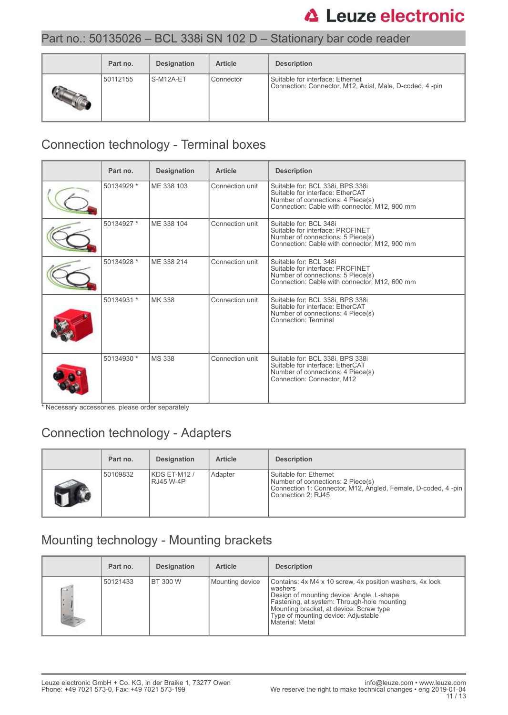## Part no.: 50135026 – BCL 338i SN 102 D – Stationary bar code reader

| Part no. | <b>Designation</b> | <b>Article</b> | <b>Description</b>                                                                          |
|----------|--------------------|----------------|---------------------------------------------------------------------------------------------|
| 50112155 | S-M12A-ET          | Connector      | Suitable for interface: Ethernet<br>Connection: Connector, M12, Axial, Male, D-coded, 4-pin |

## Connection technology - Terminal boxes

| Part no.   | <b>Designation</b> | <b>Article</b>  | <b>Description</b>                                                                                                                                         |
|------------|--------------------|-----------------|------------------------------------------------------------------------------------------------------------------------------------------------------------|
| 50134929 * | ME 338 103         | Connection unit | Suitable for: BCL 338i, BPS 338i<br>Suitable for interface: EtherCAT<br>Number of connections: 4 Piece(s)<br>Connection: Cable with connector, M12, 900 mm |
| 50134927 * | ME 338 104         | Connection unit | Suitable for: BCL 348i<br>Suitable for interface: PROFINET<br>Number of connections: 5 Piece(s)<br>Connection: Cable with connector, M12, 900 mm           |
| 50134928 * | ME 338 214         | Connection unit | Suitable for: BCL 348i<br>Suitable for interface: PROFINET<br>Number of connections: 5 Piece(s)<br>Connection: Cable with connector, M12, 600 mm           |
| 50134931 * | MK 338             | Connection unit | Suitable for: BCL 338i, BPS 338i<br>Suitable for interface: EtherCAT<br>Number of connections: 4 Piece(s)<br>Connection: Terminal                          |
| 50134930 * | <b>MS 338</b>      | Connection unit | Suitable for: BCL 338i, BPS 338i<br>Suitable for interface: EtherCAT<br>Number of connections: 4 Piece(s)<br>Connection: Connector, M12                    |

\* Necessary accessories, please order separately

## Connection technology - Adapters

| Part no. | <b>Designation</b>        | <b>Article</b> | <b>Description</b>                                                                                                                                |
|----------|---------------------------|----------------|---------------------------------------------------------------------------------------------------------------------------------------------------|
| 50109832 | KDS ET-M12 /<br>RJ45 W-4P | Adapter        | Suitable for: Ethernet<br>Number of connections: 2 Piece(s)<br>Connection 1: Connector, M12, Angled, Female, D-coded, 4-pin<br>Connection 2: RJ45 |

## Mounting technology - Mounting brackets

|                 | Part no. | <b>Designation</b> | <b>Article</b>  | <b>Description</b>                                                                                                                                                                                                                                                   |
|-----------------|----------|--------------------|-----------------|----------------------------------------------------------------------------------------------------------------------------------------------------------------------------------------------------------------------------------------------------------------------|
| $\sqrt{2}$<br>× | 50121433 | I BT 300 W         | Mounting device | Contains: 4x M4 x 10 screw, 4x position washers, 4x lock<br>washers<br>Design of mounting device: Angle, L-shape<br>Fastening, at system: Through-hole mounting<br>Mounting bracket, at device: Screw type<br>Type of mounting device: Adjustable<br>Material: Metal |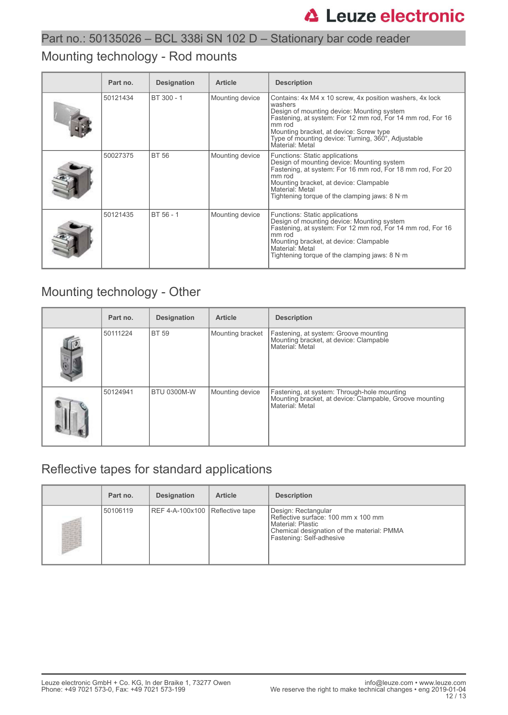## Part no.: 50135026 – BCL 338i SN 102 D – Stationary bar code reader

## Mounting technology - Rod mounts

| Part no. | <b>Designation</b> | <b>Article</b>  | <b>Description</b>                                                                                                                                                                                                                                                                                            |
|----------|--------------------|-----------------|---------------------------------------------------------------------------------------------------------------------------------------------------------------------------------------------------------------------------------------------------------------------------------------------------------------|
| 50121434 | BT 300 - 1         | Mounting device | Contains: 4x M4 x 10 screw, 4x position washers, 4x lock<br>washers<br>Design of mounting device: Mounting system<br>Fastening, at system: For 12 mm rod, For 14 mm rod, For 16<br>mm rod<br>Mounting bracket, at device: Screw type<br>Type of mounting device: Turning, 360°, Adjustable<br>Material: Metal |
| 50027375 | <b>BT 56</b>       | Mounting device | Functions: Static applications<br>Design of mounting device: Mounting system<br>Fastening, at system: For 16 mm rod, For 18 mm rod, For 20<br>mm rod<br>Mounting bracket, at device: Clampable<br>Material: Metal<br>Tightening torque of the clamping jaws: $8 N·m$                                          |
| 50121435 | BT 56 - 1          | Mounting device | Functions: Static applications<br>Design of mounting device: Mounting system<br>Fastening, at system: For 12 mm rod, For 14 mm rod, For 16<br>mm rod<br>Mounting bracket, at device: Clampable<br>Material: Metal<br>Tightening torque of the clamping jaws: $8 N·m$                                          |

## Mounting technology - Other

| Part no. | <b>Designation</b> | <b>Article</b>   | <b>Description</b>                                                                                                        |
|----------|--------------------|------------------|---------------------------------------------------------------------------------------------------------------------------|
| 50111224 | <b>BT 59</b>       | Mounting bracket | Fastening, at system: Groove mounting<br>Mounting bracket, at device: Clampable<br>Material: Metal                        |
| 50124941 | <b>BTU 0300M-W</b> | Mounting device  | Fastening, at system: Through-hole mounting<br>Mounting bracket, at device: Clampable, Groove mounting<br>Material: Metal |

## Reflective tapes for standard applications

| Part no. | <b>Designation</b>              | <b>Article</b> | <b>Description</b>                                                                                                                                        |
|----------|---------------------------------|----------------|-----------------------------------------------------------------------------------------------------------------------------------------------------------|
| 50106119 | REF 4-A-100x100 Reflective tape |                | Design: Rectangular<br>Reflective surface: 100 mm x 100 mm<br>Material: Plastic<br>Chemical designation of the material: PMMA<br>Fastening: Self-adhesive |